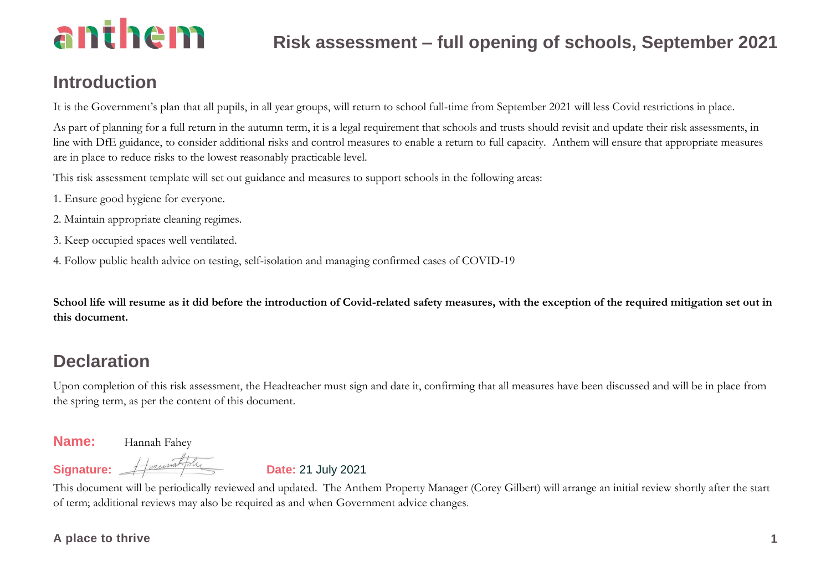### **Introduction**

It is the Government's plan that all pupils, in all year groups, will return to school full-time from September 2021 will less Covid restrictions in place.

As part of planning for a full return in the autumn term, it is a legal requirement that schools and trusts should revisit and update their risk assessments, in line with DfE guidance, to consider additional risks and control measures to enable a return to full capacity. Anthem will ensure that appropriate measures are in place to reduce risks to the lowest reasonably practicable level.

This risk assessment template will set out guidance and measures to support schools in the following areas:

- 1. Ensure good hygiene for everyone.
- 2. Maintain appropriate cleaning regimes.
- 3. Keep occupied spaces well ventilated.
- 4. Follow public health advice on testing, self-isolation and managing confirmed cases of COVID-19

**School life will resume as it did before the introduction of Covid-related safety measures, with the exception of the required mitigation set out in this document.**

### **Declaration**

Upon completion of this risk assessment, the Headteacher must sign and date it, confirming that all measures have been discussed and will be in place from the spring term, as per the content of this document.

### **Name:** Hannah Fahey

Signature: <del>// annih du</del> **Date:** 21 July 2021

This document will be periodically reviewed and updated. The Anthem Property Manager (Corey Gilbert) will arrange an initial review shortly after the start of term; additional reviews may also be required as and when Government advice changes.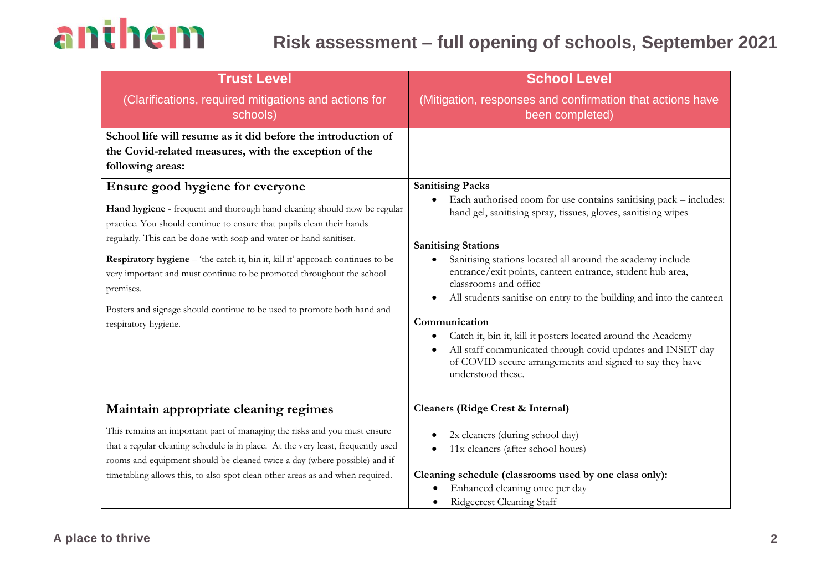| <b>Trust Level</b>                                                                                                                                                                                                                                                                                                                                                                                                                                                                                                                     | <b>School Level</b>                                                                                                                                                                                                                                                                                                                                                                                                                                                                                                                                                                                                                                                                   |
|----------------------------------------------------------------------------------------------------------------------------------------------------------------------------------------------------------------------------------------------------------------------------------------------------------------------------------------------------------------------------------------------------------------------------------------------------------------------------------------------------------------------------------------|---------------------------------------------------------------------------------------------------------------------------------------------------------------------------------------------------------------------------------------------------------------------------------------------------------------------------------------------------------------------------------------------------------------------------------------------------------------------------------------------------------------------------------------------------------------------------------------------------------------------------------------------------------------------------------------|
| (Clarifications, required mitigations and actions for<br>schools)                                                                                                                                                                                                                                                                                                                                                                                                                                                                      | (Mitigation, responses and confirmation that actions have<br>been completed)                                                                                                                                                                                                                                                                                                                                                                                                                                                                                                                                                                                                          |
| School life will resume as it did before the introduction of<br>the Covid-related measures, with the exception of the<br>following areas:                                                                                                                                                                                                                                                                                                                                                                                              |                                                                                                                                                                                                                                                                                                                                                                                                                                                                                                                                                                                                                                                                                       |
| Ensure good hygiene for everyone<br>Hand hygiene - frequent and thorough hand cleaning should now be regular<br>practice. You should continue to ensure that pupils clean their hands<br>regularly. This can be done with soap and water or hand sanitiser.<br>Respiratory hygiene - 'the catch it, bin it, kill it' approach continues to be<br>very important and must continue to be promoted throughout the school<br>premises.<br>Posters and signage should continue to be used to promote both hand and<br>respiratory hygiene. | <b>Sanitising Packs</b><br>Each authorised room for use contains sanitising pack – includes:<br>$\bullet$<br>hand gel, sanitising spray, tissues, gloves, sanitising wipes<br><b>Sanitising Stations</b><br>Sanitising stations located all around the academy include<br>entrance/exit points, canteen entrance, student hub area,<br>classrooms and office<br>All students sanitise on entry to the building and into the canteen<br>Communication<br>Catch it, bin it, kill it posters located around the Academy<br>٠<br>All staff communicated through covid updates and INSET day<br>$\bullet$<br>of COVID secure arrangements and signed to say they have<br>understood these. |
| Maintain appropriate cleaning regimes                                                                                                                                                                                                                                                                                                                                                                                                                                                                                                  | <b>Cleaners (Ridge Crest &amp; Internal)</b>                                                                                                                                                                                                                                                                                                                                                                                                                                                                                                                                                                                                                                          |
| This remains an important part of managing the risks and you must ensure<br>that a regular cleaning schedule is in place. At the very least, frequently used<br>rooms and equipment should be cleaned twice a day (where possible) and if<br>timetabling allows this, to also spot clean other areas as and when required.                                                                                                                                                                                                             | 2x cleaners (during school day)<br>11x cleaners (after school hours)<br>$\bullet$<br>Cleaning schedule (classrooms used by one class only):<br>Enhanced cleaning once per day<br>Ridgecrest Cleaning Staff                                                                                                                                                                                                                                                                                                                                                                                                                                                                            |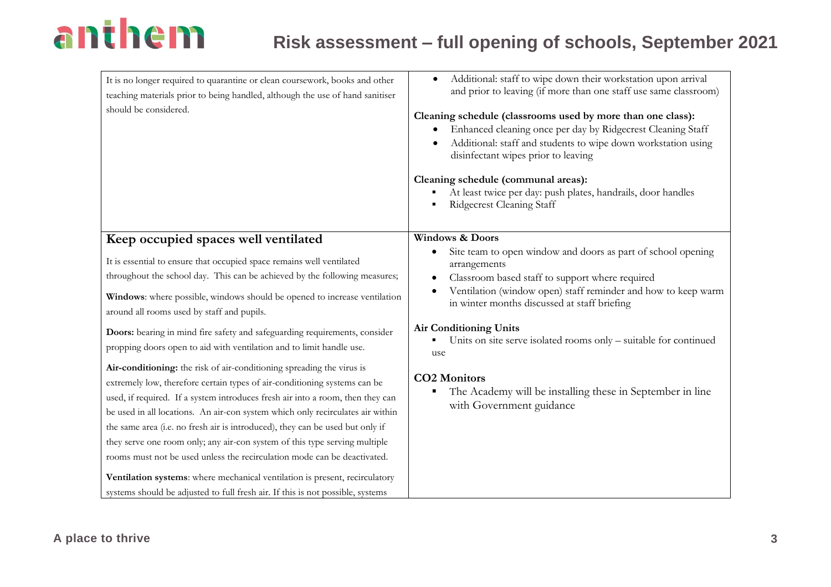| It is no longer required to quarantine or clean coursework, books and other<br>teaching materials prior to being handled, although the use of hand sanitiser<br>should be considered.                                                                                                                                                                                                                                                                                                                                                                                                                                                                                                                                                                                                                                                                                                                                                                                                                                                                                                                                            | Additional: staff to wipe down their workstation upon arrival<br>$\bullet$<br>and prior to leaving (if more than one staff use same classroom)<br>Cleaning schedule (classrooms used by more than one class):<br>Enhanced cleaning once per day by Ridgecrest Cleaning Staff<br>Additional: staff and students to wipe down workstation using<br>disinfectant wipes prior to leaving<br>Cleaning schedule (communal areas):<br>At least twice per day: push plates, handrails, door handles<br>Ridgecrest Cleaning Staff                       |
|----------------------------------------------------------------------------------------------------------------------------------------------------------------------------------------------------------------------------------------------------------------------------------------------------------------------------------------------------------------------------------------------------------------------------------------------------------------------------------------------------------------------------------------------------------------------------------------------------------------------------------------------------------------------------------------------------------------------------------------------------------------------------------------------------------------------------------------------------------------------------------------------------------------------------------------------------------------------------------------------------------------------------------------------------------------------------------------------------------------------------------|------------------------------------------------------------------------------------------------------------------------------------------------------------------------------------------------------------------------------------------------------------------------------------------------------------------------------------------------------------------------------------------------------------------------------------------------------------------------------------------------------------------------------------------------|
| Keep occupied spaces well ventilated<br>It is essential to ensure that occupied space remains well ventilated<br>throughout the school day. This can be achieved by the following measures;<br>Windows: where possible, windows should be opened to increase ventilation<br>around all rooms used by staff and pupils.<br>Doors: bearing in mind fire safety and safeguarding requirements, consider<br>propping doors open to aid with ventilation and to limit handle use.<br>Air-conditioning: the risk of air-conditioning spreading the virus is<br>extremely low, therefore certain types of air-conditioning systems can be<br>used, if required. If a system introduces fresh air into a room, then they can<br>be used in all locations. An air-con system which only recirculates air within<br>the same area (i.e. no fresh air is introduced), they can be used but only if<br>they serve one room only; any air-con system of this type serving multiple<br>rooms must not be used unless the recirculation mode can be deactivated.<br>Ventilation systems: where mechanical ventilation is present, recirculatory | <b>Windows &amp; Doors</b><br>Site team to open window and doors as part of school opening<br>٠<br>arrangements<br>Classroom based staff to support where required<br>$\bullet$<br>Ventilation (window open) staff reminder and how to keep warm<br>in winter months discussed at staff briefing<br><b>Air Conditioning Units</b><br>Units on site serve isolated rooms only – suitable for continued<br>use<br><b>CO2 Monitors</b><br>The Academy will be installing these in September in line<br>$\blacksquare$<br>with Government guidance |
| systems should be adjusted to full fresh air. If this is not possible, systems                                                                                                                                                                                                                                                                                                                                                                                                                                                                                                                                                                                                                                                                                                                                                                                                                                                                                                                                                                                                                                                   |                                                                                                                                                                                                                                                                                                                                                                                                                                                                                                                                                |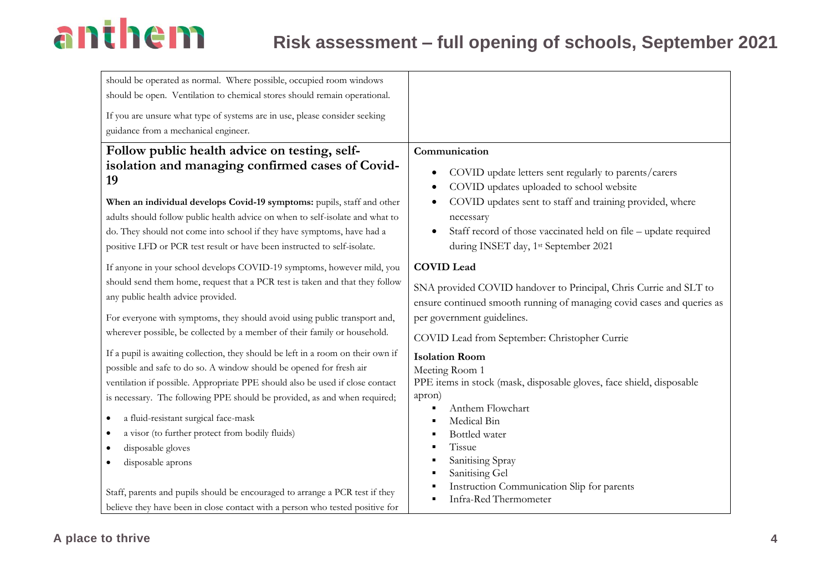| should be operated as normal. Where possible, occupied room windows              |                                                                        |
|----------------------------------------------------------------------------------|------------------------------------------------------------------------|
| should be open. Ventilation to chemical stores should remain operational.        |                                                                        |
| If you are unsure what type of systems are in use, please consider seeking       |                                                                        |
| guidance from a mechanical engineer.                                             |                                                                        |
| Follow public health advice on testing, self-                                    | Communication                                                          |
| isolation and managing confirmed cases of Covid-                                 | COVID update letters sent regularly to parents/carers                  |
| 19                                                                               | COVID updates uploaded to school website                               |
| When an individual develops Covid-19 symptoms: pupils, staff and other           | COVID updates sent to staff and training provided, where               |
| adults should follow public health advice on when to self-isolate and what to    | necessary                                                              |
| do. They should not come into school if they have symptoms, have had a           | Staff record of those vaccinated held on file - update required        |
| positive LFD or PCR test result or have been instructed to self-isolate.         | during INSET day, 1st September 2021                                   |
| If anyone in your school develops COVID-19 symptoms, however mild, you           | <b>COVID Lead</b>                                                      |
| should send them home, request that a PCR test is taken and that they follow     | SNA provided COVID handover to Principal, Chris Currie and SLT to      |
| any public health advice provided.                                               | ensure continued smooth running of managing covid cases and queries as |
| For everyone with symptoms, they should avoid using public transport and,        | per government guidelines.                                             |
| wherever possible, be collected by a member of their family or household.        | COVID Lead from September: Christopher Currie                          |
| If a pupil is awaiting collection, they should be left in a room on their own if | <b>Isolation Room</b>                                                  |
| possible and safe to do so. A window should be opened for fresh air              | Meeting Room 1                                                         |
| ventilation if possible. Appropriate PPE should also be used if close contact    | PPE items in stock (mask, disposable gloves, face shield, disposable   |
| is necessary. The following PPE should be provided, as and when required;        | apron)<br>Anthem Flowchart                                             |
| a fluid-resistant surgical face-mask                                             | Medical Bin                                                            |
| a visor (to further protect from bodily fluids)                                  | Bottled water                                                          |
| disposable gloves                                                                | Tissue                                                                 |
| disposable aprons                                                                | Sanitising Spray                                                       |
|                                                                                  | Sanitising Gel                                                         |
| Staff, parents and pupils should be encouraged to arrange a PCR test if they     | Instruction Communication Slip for parents<br>Infra-Red Thermometer    |
| believe they have been in close contact with a person who tested positive for    |                                                                        |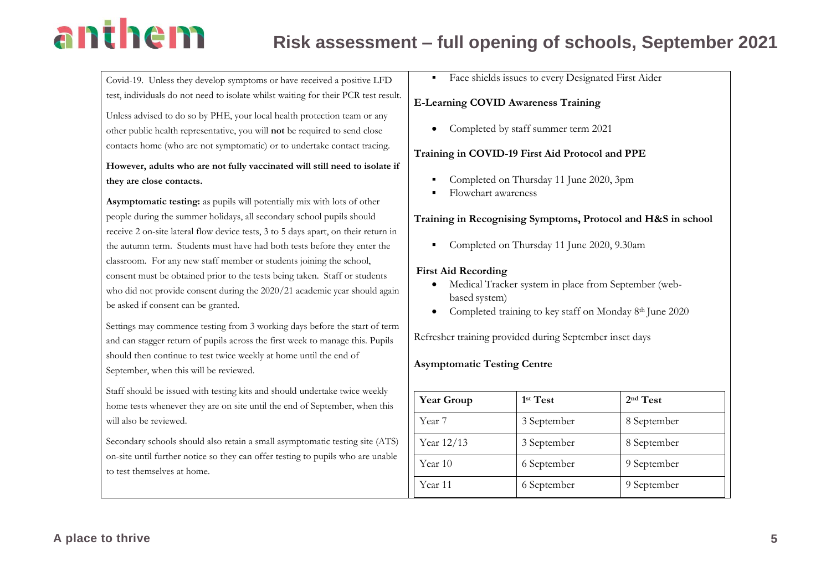### **Risk assessment – full opening of schools, September 2021**

Covid-19. Unless they develop symptoms or have received a positive LFD test, individuals do not need to isolate whilst waiting for their PCR test result.

Unless advised to do so by PHE, your local health protection team or any other public health representative, you will **not** be required to send close contacts home (who are not symptomatic) or to undertake contact tracing.

**However, adults who are not fully vaccinated will still need to isolate if they are close contacts.**

**Asymptomatic testing:** as pupils will potentially mix with lots of other people during the summer holidays, all secondary school pupils should receive 2 on-site lateral flow device tests, 3 to 5 days apart, on their return in the autumn term. Students must have had both tests before they enter the classroom. For any new staff member or students joining the school, consent must be obtained prior to the tests being taken. Staff or students who did not provide consent during the 2020/21 academic year should again be asked if consent can be granted.

Settings may commence testing from 3 working days before the start of term and can stagger return of pupils across the first week to manage this. Pupils should then continue to test twice weekly at home until the end of September, when this will be reviewed.

Staff should be issued with testing kits and should undertake twice weekly home tests whenever they are on site until the end of September, when this will also be reviewed.

Secondary schools should also retain a small asymptomatic testing site (ATS) on-site until further notice so they can offer testing to pupils who are unable to test themselves at home.

**Example 1** Face shields issues to every Designated First Aider

#### **E-Learning COVID Awareness Training**

• Completed by staff summer term 2021

#### **Training in COVID-19 First Aid Protocol and PPE**

- Completed on Thursday 11 June 2020, 3pm
- Flowchart awareness

#### **Training in Recognising Symptoms, Protocol and H&S in school**

■ Completed on Thursday 11 June 2020, 9.30am

#### **First Aid Recording**

- Medical Tracker system in place from September (webbased system)
- Completed training to key staff on Monday 8<sup>th</sup> June 2020

Refresher training provided during September inset days

#### **Asymptomatic Testing Centre**

| <b>Year Group</b> | 1 <sup>st</sup> Test | 2 <sup>nd</sup> Test |
|-------------------|----------------------|----------------------|
| Year 7            | 3 September          | 8 September          |
| Year 12/13        | 3 September          | 8 September          |
| Year 10           | 6 September          | 9 September          |
| Year 11           | 6 September          | 9 September          |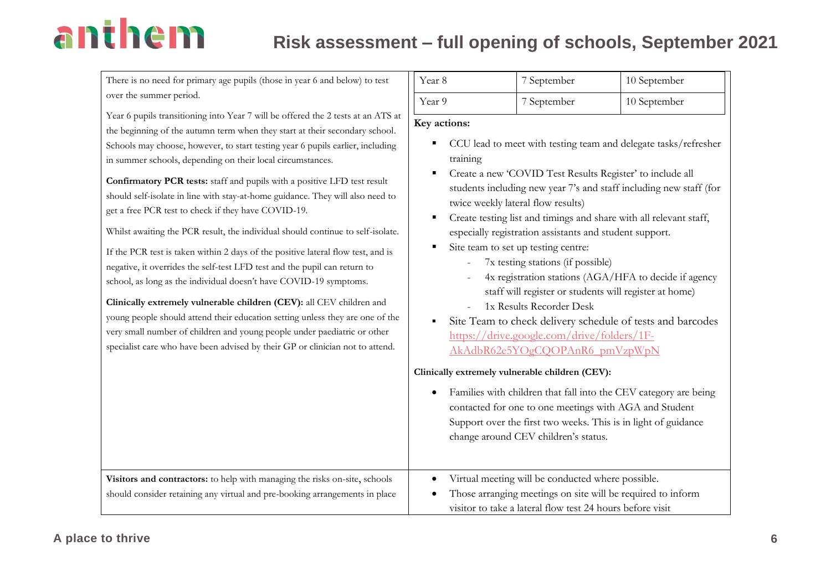| There is no need for primary age pupils (those in year 6 and below) to test                                                                                                                                                                                                                                                                                                                                                                                                                                                                                                                                                                                                                                                                                                                                                                                                                                                                                                                                                                                                                                                                                                         | Year 8                                                                                                                                      | 7 September                                                                                                                                                                                                                                                                                                                                                                                                                                                                                                                                                                                                                                                                                                                                                                         | $10$ September                                                                                                                                                                                      |
|-------------------------------------------------------------------------------------------------------------------------------------------------------------------------------------------------------------------------------------------------------------------------------------------------------------------------------------------------------------------------------------------------------------------------------------------------------------------------------------------------------------------------------------------------------------------------------------------------------------------------------------------------------------------------------------------------------------------------------------------------------------------------------------------------------------------------------------------------------------------------------------------------------------------------------------------------------------------------------------------------------------------------------------------------------------------------------------------------------------------------------------------------------------------------------------|---------------------------------------------------------------------------------------------------------------------------------------------|-------------------------------------------------------------------------------------------------------------------------------------------------------------------------------------------------------------------------------------------------------------------------------------------------------------------------------------------------------------------------------------------------------------------------------------------------------------------------------------------------------------------------------------------------------------------------------------------------------------------------------------------------------------------------------------------------------------------------------------------------------------------------------------|-----------------------------------------------------------------------------------------------------------------------------------------------------------------------------------------------------|
| over the summer period.                                                                                                                                                                                                                                                                                                                                                                                                                                                                                                                                                                                                                                                                                                                                                                                                                                                                                                                                                                                                                                                                                                                                                             | Year 9                                                                                                                                      | 7 September                                                                                                                                                                                                                                                                                                                                                                                                                                                                                                                                                                                                                                                                                                                                                                         | 10 September                                                                                                                                                                                        |
| Year 6 pupils transitioning into Year 7 will be offered the 2 tests at an ATS at<br>the beginning of the autumn term when they start at their secondary school.<br>Schools may choose, however, to start testing year 6 pupils earlier, including<br>in summer schools, depending on their local circumstances.<br>Confirmatory PCR tests: staff and pupils with a positive LFD test result<br>should self-isolate in line with stay-at-home guidance. They will also need to<br>get a free PCR test to check if they have COVID-19.<br>Whilst awaiting the PCR result, the individual should continue to self-isolate.<br>If the PCR test is taken within 2 days of the positive lateral flow test, and is<br>negative, it overrides the self-test LFD test and the pupil can return to<br>school, as long as the individual doesn't have COVID-19 symptoms.<br>Clinically extremely vulnerable children (CEV): all CEV children and<br>young people should attend their education setting unless they are one of the<br>very small number of children and young people under paediatric or other<br>specialist care who have been advised by their GP or clinician not to attend. | Key actions:<br>$\blacksquare$<br>training<br>П<br>п<br>$\blacksquare$<br>٠<br>Clinically extremely vulnerable children (CEV):<br>$\bullet$ | Create a new 'COVID Test Results Register' to include all<br>twice weekly lateral flow results)<br>Create testing list and timings and share with all relevant staff,<br>especially registration assistants and student support.<br>Site team to set up testing centre:<br>7x testing stations (if possible)<br>4x registration stations (AGA/HFA to decide if agency<br>staff will register or students will register at home)<br>1x Results Recorder Desk<br>https://drive.google.com/drive/folders/1F-<br>AkAdbR62e5YOgCQOPAnR6 pmVzpWpN<br>Families with children that fall into the CEV category are being<br>contacted for one to one meetings with AGA and Student<br>Support over the first two weeks. This is in light of guidance<br>change around CEV children's status. | CCU lead to meet with testing team and delegate tasks/refresher<br>students including new year 7's and staff including new staff (for<br>Site Team to check delivery schedule of tests and barcodes |
| Visitors and contractors: to help with managing the risks on-site, schools<br>should consider retaining any virtual and pre-booking arrangements in place                                                                                                                                                                                                                                                                                                                                                                                                                                                                                                                                                                                                                                                                                                                                                                                                                                                                                                                                                                                                                           | $\bullet$                                                                                                                                   | Virtual meeting will be conducted where possible.<br>Those arranging meetings on site will be required to inform<br>visitor to take a lateral flow test 24 hours before visit                                                                                                                                                                                                                                                                                                                                                                                                                                                                                                                                                                                                       |                                                                                                                                                                                                     |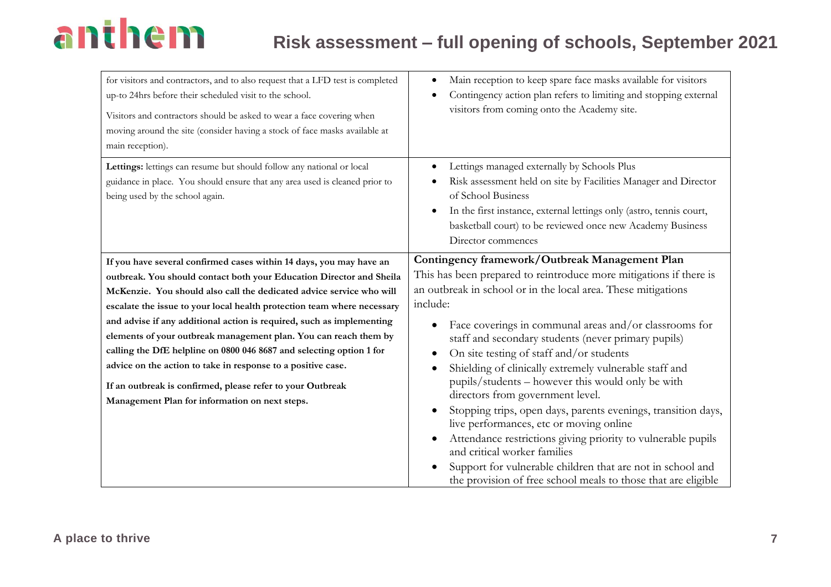| for visitors and contractors, and to also request that a LFD test is completed<br>up-to 24hrs before their scheduled visit to the school.<br>Visitors and contractors should be asked to wear a face covering when<br>moving around the site (consider having a stock of face masks available at<br>main reception). | Main reception to keep spare face masks available for visitors<br>٠<br>Contingency action plan refers to limiting and stopping external<br>$\bullet$<br>visitors from coming onto the Academy site.                                                                                                                                    |
|----------------------------------------------------------------------------------------------------------------------------------------------------------------------------------------------------------------------------------------------------------------------------------------------------------------------|----------------------------------------------------------------------------------------------------------------------------------------------------------------------------------------------------------------------------------------------------------------------------------------------------------------------------------------|
| Lettings: lettings can resume but should follow any national or local<br>guidance in place. You should ensure that any area used is cleaned prior to<br>being used by the school again.                                                                                                                              | Lettings managed externally by Schools Plus<br>$\bullet$<br>Risk assessment held on site by Facilities Manager and Director<br>$\bullet$<br>of School Business<br>In the first instance, external lettings only (astro, tennis court,<br>$\bullet$<br>basketball court) to be reviewed once new Academy Business<br>Director commences |
| If you have several confirmed cases within 14 days, you may have an                                                                                                                                                                                                                                                  | Contingency framework/Outbreak Management Plan                                                                                                                                                                                                                                                                                         |
| outbreak. You should contact both your Education Director and Sheila                                                                                                                                                                                                                                                 | This has been prepared to reintroduce more mitigations if there is                                                                                                                                                                                                                                                                     |
| McKenzie. You should also call the dedicated advice service who will                                                                                                                                                                                                                                                 | an outbreak in school or in the local area. These mitigations                                                                                                                                                                                                                                                                          |
| escalate the issue to your local health protection team where necessary                                                                                                                                                                                                                                              | include:                                                                                                                                                                                                                                                                                                                               |
| and advise if any additional action is required, such as implementing                                                                                                                                                                                                                                                | Face coverings in communal areas and/or classrooms for                                                                                                                                                                                                                                                                                 |
| elements of your outbreak management plan. You can reach them by                                                                                                                                                                                                                                                     | staff and secondary students (never primary pupils)                                                                                                                                                                                                                                                                                    |
| calling the DfE helpline on 0800 046 8687 and selecting option 1 for                                                                                                                                                                                                                                                 | On site testing of staff and/or students<br>$\bullet$                                                                                                                                                                                                                                                                                  |
| advice on the action to take in response to a positive case.                                                                                                                                                                                                                                                         | Shielding of clinically extremely vulnerable staff and<br>$\bullet$                                                                                                                                                                                                                                                                    |
| If an outbreak is confirmed, please refer to your Outbreak                                                                                                                                                                                                                                                           | pupils/students - however this would only be with                                                                                                                                                                                                                                                                                      |
| Management Plan for information on next steps.                                                                                                                                                                                                                                                                       | directors from government level.                                                                                                                                                                                                                                                                                                       |
|                                                                                                                                                                                                                                                                                                                      | Stopping trips, open days, parents evenings, transition days,<br>live performances, etc or moving online                                                                                                                                                                                                                               |
|                                                                                                                                                                                                                                                                                                                      | Attendance restrictions giving priority to vulnerable pupils<br>о<br>and critical worker families                                                                                                                                                                                                                                      |
|                                                                                                                                                                                                                                                                                                                      | Support for vulnerable children that are not in school and<br>the provision of free school meals to those that are eligible                                                                                                                                                                                                            |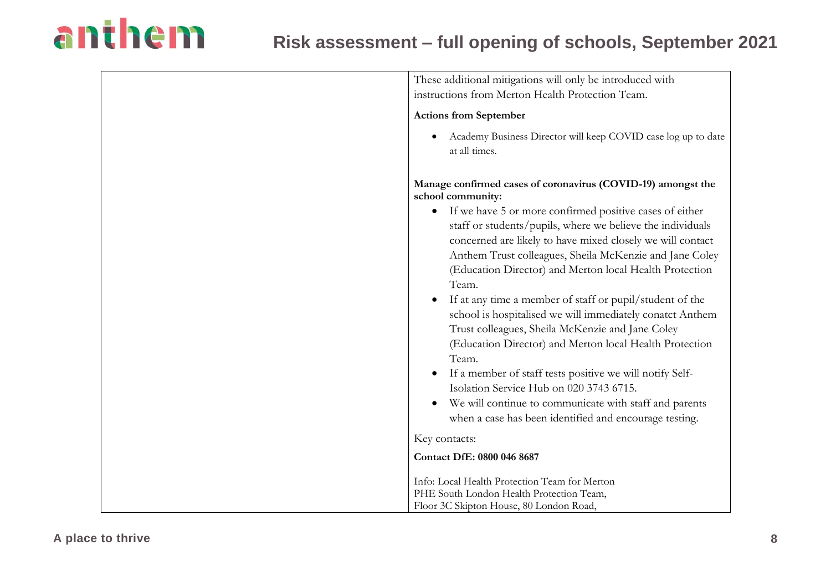| These additional mitigations will only be introduced with<br>instructions from Merton Health Protection Team.                                                                                                                                                                                                                                                                                                                                                                                                                                                                                                                                                                                                                                                                                                            |
|--------------------------------------------------------------------------------------------------------------------------------------------------------------------------------------------------------------------------------------------------------------------------------------------------------------------------------------------------------------------------------------------------------------------------------------------------------------------------------------------------------------------------------------------------------------------------------------------------------------------------------------------------------------------------------------------------------------------------------------------------------------------------------------------------------------------------|
| <b>Actions from September</b>                                                                                                                                                                                                                                                                                                                                                                                                                                                                                                                                                                                                                                                                                                                                                                                            |
| Academy Business Director will keep COVID case log up to date<br>at all times.                                                                                                                                                                                                                                                                                                                                                                                                                                                                                                                                                                                                                                                                                                                                           |
| Manage confirmed cases of coronavirus (COVID-19) amongst the<br>school community:                                                                                                                                                                                                                                                                                                                                                                                                                                                                                                                                                                                                                                                                                                                                        |
| If we have 5 or more confirmed positive cases of either<br>$\bullet$<br>staff or students/pupils, where we believe the individuals<br>concerned are likely to have mixed closely we will contact<br>Anthem Trust colleagues, Sheila McKenzie and Jane Coley<br>(Education Director) and Merton local Health Protection<br>Team.<br>If at any time a member of staff or pupil/student of the<br>school is hospitalised we will immediately conatct Anthem<br>Trust colleagues, Sheila McKenzie and Jane Coley<br>(Education Director) and Merton local Health Protection<br>Team.<br>If a member of staff tests positive we will notify Self-<br>Isolation Service Hub on 020 3743 6715.<br>We will continue to communicate with staff and parents<br>$\bullet$<br>when a case has been identified and encourage testing. |
| Key contacts:                                                                                                                                                                                                                                                                                                                                                                                                                                                                                                                                                                                                                                                                                                                                                                                                            |
| Contact DfE: 0800 046 8687                                                                                                                                                                                                                                                                                                                                                                                                                                                                                                                                                                                                                                                                                                                                                                                               |
| Info: Local Health Protection Team for Merton<br>PHE South London Health Protection Team,<br>Floor 3C Skipton House, 80 London Road,                                                                                                                                                                                                                                                                                                                                                                                                                                                                                                                                                                                                                                                                                     |